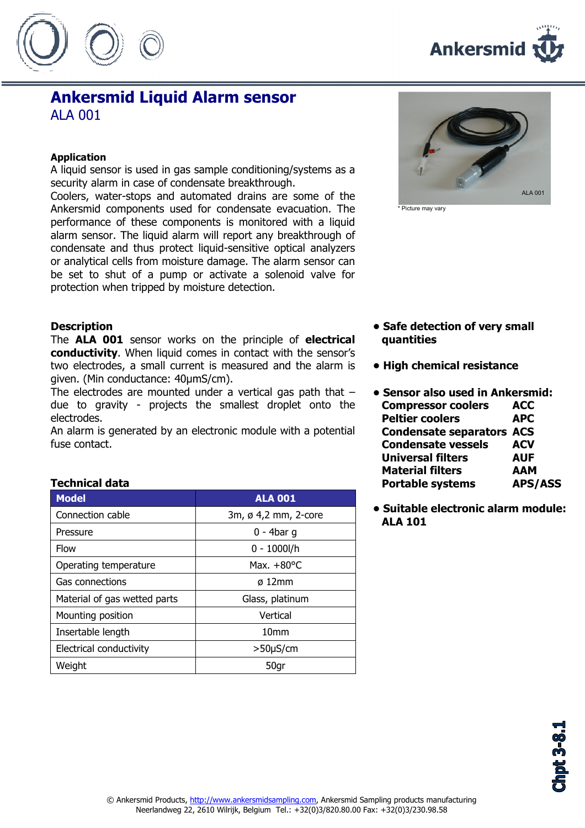



# Ankersmid Liquid Alarm sensor ALA 001

#### Application

A liquid sensor is used in gas sample conditioning/systems as a security alarm in case of condensate breakthrough.

Coolers, water-stops and automated drains are some of the Ankersmid components used for condensate evacuation. The performance of these components is monitored with a liquid alarm sensor. The liquid alarm will report any breakthrough of condensate and thus protect liquid-sensitive optical analyzers or analytical cells from moisture damage. The alarm sensor can be set to shut of a pump or activate a solenoid valve for protection when tripped by moisture detection.

### **Description**

The **ALA 001** sensor works on the principle of electrical conductivity. When liquid comes in contact with the sensor's two electrodes, a small current is measured and the alarm is given. (Min conductance: 40µmS/cm).

The electrodes are mounted under a vertical gas path that – due to gravity - projects the smallest droplet onto the electrodes.

An alarm is generated by an electronic module with a potential fuse contact.

### Technical data

| <b>Model</b>                 | <b>ALA 001</b>       |  |
|------------------------------|----------------------|--|
| Connection cable             | 3m, ø 4,2 mm, 2-core |  |
| Pressure                     | $0 - 4$ bar q        |  |
| Flow                         | $0 - 1000$ I/h       |  |
| Operating temperature        | Max. $+80^{\circ}$ C |  |
| Gas connections              | $\sigma$ 12mm        |  |
| Material of gas wetted parts | Glass, platinum      |  |
| Mounting position            | Vertical             |  |
| Insertable length            | 10 <sub>mm</sub>     |  |
| Electrical conductivity      | $>50\mu$ S/cm        |  |
| Weight                       | 50gr                 |  |



\* Picture may vary

- Safe detection of very small quantities
- High chemical resistance
- Sensor also used in Ankersmid: Compressor coolers ACC Peltier coolers **APC** Condensate separators ACS Condensate vessels ACV Universal filters AUF Material filters AAM Portable systems APS/ASS
- Suitable electronic alarm module: ALA 101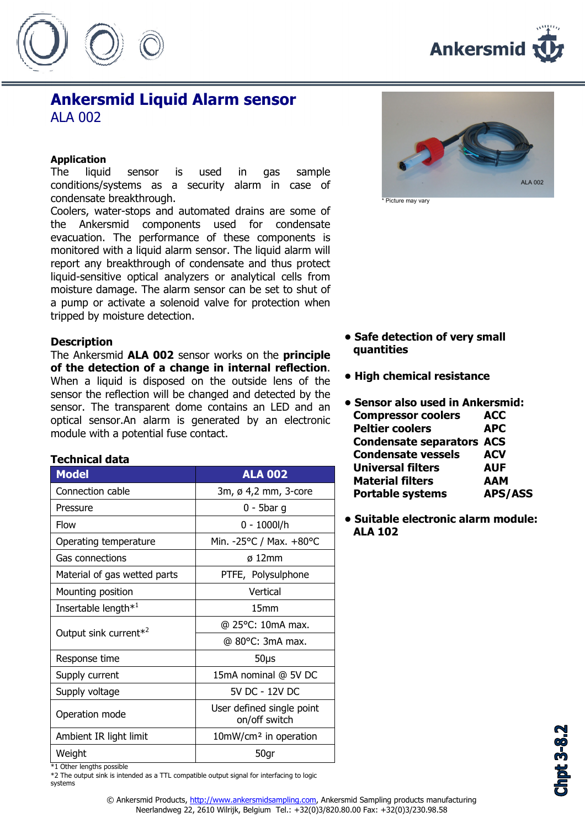



## Ankersmid Liquid Alarm sensor **ALA 002**

#### Application

The liquid sensor is used in gas sample conditions/systems as a security alarm in case of condensate breakthrough.

Coolers, water-stops and automated drains are some of the Ankersmid components used for condensate evacuation. The performance of these components is monitored with a liquid alarm sensor. The liquid alarm will report any breakthrough of condensate and thus protect liquid-sensitive optical analyzers or analytical cells from moisture damage. The alarm sensor can be set to shut of a pump or activate a solenoid valve for protection when tripped by moisture detection.

#### **Description**

The Ankersmid ALA 002 sensor works on the principle of the detection of a change in internal reflection. When a liquid is disposed on the outside lens of the sensor the reflection will be changed and detected by the sensor. The transparent dome contains an LED and an optical sensor.An alarm is generated by an electronic module with a potential fuse contact.

## Technical data

| <b>Model</b>                      | <b>ALA 002</b>                             |  |
|-----------------------------------|--------------------------------------------|--|
| Connection cable                  | 3m, ø 4,2 mm, 3-core                       |  |
| Pressure                          | $0 - 5$ bar g                              |  |
| Flow                              | $0 - 1000$ l/h                             |  |
| Operating temperature             | Min. - 25°C / Max. +80°C                   |  |
| Gas connections                   | $\varnothing$ 12mm                         |  |
| Material of gas wetted parts      | PTFE, Polysulphone                         |  |
| Mounting position                 | Vertical                                   |  |
| Insertable length <sup>*1</sup>   | 15 <sub>mm</sub>                           |  |
| Output sink current <sup>*2</sup> | @ 25°C: 10mA max.                          |  |
|                                   | @ 80°C: 3mA max.                           |  |
| Response time                     | 50 <sub>µ</sub>                            |  |
| Supply current                    | 15mA nominal @ 5V DC                       |  |
| Supply voltage                    | 5V DC - 12V DC                             |  |
| Operation mode                    | User defined single point<br>on/off switch |  |
| Ambient IR light limit            | 10mW/cm <sup>2</sup> in operation          |  |
| Weight                            | 50gr                                       |  |

ALA 002

\* Picture may vary

- Safe detection of very small quantities
- High chemical resistance
- Sensor also used in Ankersmid: Compressor coolers ACC Peltier coolers **APC** Condensate separators ACS Condensate vessels ACV Universal filters AUF Material filters AAM Portable systems APS/ASS
- Suitable electronic alarm module: ALA 102

\*1 Other lengths possible

\*2 The output sink is intended as a TTL compatible output signal for interfacing to logic systems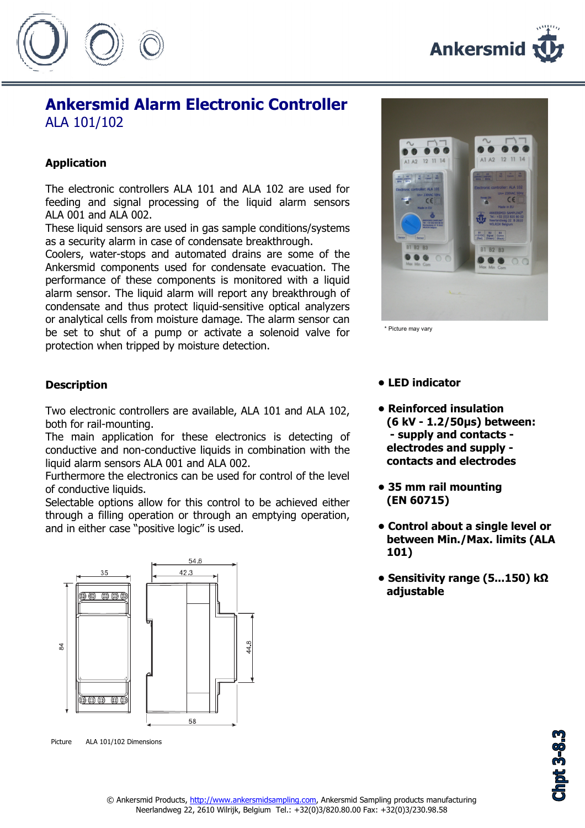

# Ankersmid Alarm Electronic Controller ALA 101/102

## Application

The electronic controllers ALA 101 and ALA 102 are used for feeding and signal processing of the liquid alarm sensors ALA 001 and ALA 002.

These liquid sensors are used in gas sample conditions/systems as a security alarm in case of condensate breakthrough.

Coolers, water-stops and automated drains are some of the Ankersmid components used for condensate evacuation. The performance of these components is monitored with a liquid alarm sensor. The liquid alarm will report any breakthrough of condensate and thus protect liquid-sensitive optical analyzers or analytical cells from moisture damage. The alarm sensor can be set to shut of a pump or activate a solenoid valve for protection when tripped by moisture detection.



\* Picture may vary

## **Description**

Two electronic controllers are available, ALA 101 and ALA 102, both for rail-mounting.

The main application for these electronics is detecting of conductive and non-conductive liquids in combination with the liquid alarm sensors ALA 001 and ALA 002.

Furthermore the electronics can be used for control of the level of conductive liquids.

Selectable options allow for this control to be achieved either through a filling operation or through an emptying operation, and in either case "positive logic" is used.



Picture ALA 101/102 Dimensions



- Reinforced insulation (6 kV - 1.2/50µs) between: - supply and contacts electrodes and supply contacts and electrodes
- 35 mm rail mounting (EN 60715)
- Control about a single level or between Min./Max. limits (ALA 101)
- Sensitivity range (5...150) kΩ adjustable